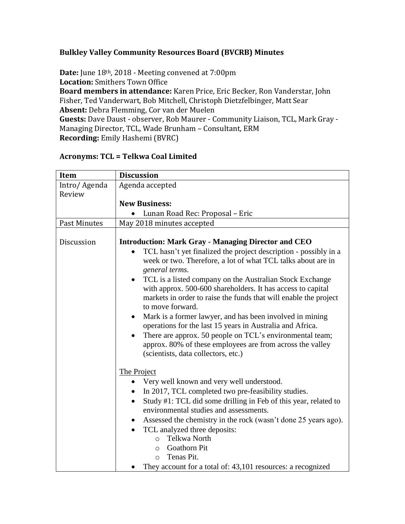## **Bulkley Valley Community Resources Board (BVCRB) Minutes**

**Date:** June 18th, 2018 - Meeting convened at 7:00pm **Location:** Smithers Town Office **Board members in attendance:** Karen Price, Eric Becker, Ron Vanderstar, John Fisher, Ted Vanderwart, Bob Mitchell, Christoph Dietzfelbinger, Matt Sear **Absent:** Debra Flemming, Cor van der Muelen **Guests:** Dave Daust - observer, Rob Maurer - Community Liaison, TCL, Mark Gray - Managing Director, TCL, Wade Brunham – Consultant, ERM **Recording:** Emily Hashemi (BVRC)

| <b>Item</b>         | <b>Discussion</b>                                                                                                                                                                                                                                                                                                                                                                                                                                                                                                                                                                                                                                                                                                                                                                                                                                                                                                                                                                                                                                                                                                                                                                                                |  |  |  |
|---------------------|------------------------------------------------------------------------------------------------------------------------------------------------------------------------------------------------------------------------------------------------------------------------------------------------------------------------------------------------------------------------------------------------------------------------------------------------------------------------------------------------------------------------------------------------------------------------------------------------------------------------------------------------------------------------------------------------------------------------------------------------------------------------------------------------------------------------------------------------------------------------------------------------------------------------------------------------------------------------------------------------------------------------------------------------------------------------------------------------------------------------------------------------------------------------------------------------------------------|--|--|--|
| Intro/ Agenda       | Agenda accepted                                                                                                                                                                                                                                                                                                                                                                                                                                                                                                                                                                                                                                                                                                                                                                                                                                                                                                                                                                                                                                                                                                                                                                                                  |  |  |  |
| Review              |                                                                                                                                                                                                                                                                                                                                                                                                                                                                                                                                                                                                                                                                                                                                                                                                                                                                                                                                                                                                                                                                                                                                                                                                                  |  |  |  |
|                     | <b>New Business:</b>                                                                                                                                                                                                                                                                                                                                                                                                                                                                                                                                                                                                                                                                                                                                                                                                                                                                                                                                                                                                                                                                                                                                                                                             |  |  |  |
|                     | Lunan Road Rec: Proposal - Eric                                                                                                                                                                                                                                                                                                                                                                                                                                                                                                                                                                                                                                                                                                                                                                                                                                                                                                                                                                                                                                                                                                                                                                                  |  |  |  |
| <b>Past Minutes</b> | May 2018 minutes accepted                                                                                                                                                                                                                                                                                                                                                                                                                                                                                                                                                                                                                                                                                                                                                                                                                                                                                                                                                                                                                                                                                                                                                                                        |  |  |  |
| Discussion          | <b>Introduction: Mark Gray - Managing Director and CEO</b><br>TCL hasn't yet finalized the project description - possibly in a<br>week or two. Therefore, a lot of what TCL talks about are in<br>general terms.<br>TCL is a listed company on the Australian Stock Exchange<br>٠<br>with approx. 500-600 shareholders. It has access to capital<br>markets in order to raise the funds that will enable the project<br>to move forward.<br>Mark is a former lawyer, and has been involved in mining<br>$\bullet$<br>operations for the last 15 years in Australia and Africa.<br>There are approx. 50 people on TCL's environmental team;<br>٠<br>approx. 80% of these employees are from across the valley<br>(scientists, data collectors, etc.)<br>The Project<br>Very well known and very well understood.<br>In 2017, TCL completed two pre-feasibility studies.<br>Study #1: TCL did some drilling in Feb of this year, related to<br>$\bullet$<br>environmental studies and assessments.<br>Assessed the chemistry in the rock (wasn't done 25 years ago).<br>٠<br>TCL analyzed three deposits:<br>$\bullet$<br>Telkwa North<br>$\circ$<br><b>Goathorn Pit</b><br>$\bigcirc$<br>Tenas Pit.<br>$\bigcirc$ |  |  |  |
|                     | They account for a total of: 43,101 resources: a recognized                                                                                                                                                                                                                                                                                                                                                                                                                                                                                                                                                                                                                                                                                                                                                                                                                                                                                                                                                                                                                                                                                                                                                      |  |  |  |

## **Acronyms: TCL = Telkwa Coal Limited**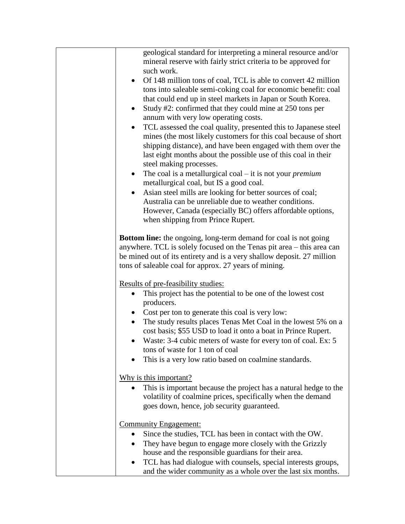| geological standard for interpreting a mineral resource and/or<br>mineral reserve with fairly strict criteria to be approved for                                                                                                                                                                             |  |  |  |
|--------------------------------------------------------------------------------------------------------------------------------------------------------------------------------------------------------------------------------------------------------------------------------------------------------------|--|--|--|
| such work.<br>Of 148 million tons of coal, TCL is able to convert 42 million                                                                                                                                                                                                                                 |  |  |  |
| tons into saleable semi-coking coal for economic benefit: coal<br>that could end up in steel markets in Japan or South Korea.                                                                                                                                                                                |  |  |  |
| Study #2: confirmed that they could mine at 250 tons per<br>$\bullet$                                                                                                                                                                                                                                        |  |  |  |
| annum with very low operating costs.                                                                                                                                                                                                                                                                         |  |  |  |
| TCL assessed the coal quality, presented this to Japanese steel<br>$\bullet$<br>mines (the most likely customers for this coal because of short<br>shipping distance), and have been engaged with them over the<br>last eight months about the possible use of this coal in their<br>steel making processes. |  |  |  |
| The coal is a metallurgical coal $-$ it is not your <i>premium</i><br>$\bullet$<br>metallurgical coal, but IS a good coal.                                                                                                                                                                                   |  |  |  |
| Asian steel mills are looking for better sources of coal;<br>$\bullet$                                                                                                                                                                                                                                       |  |  |  |
| Australia can be unreliable due to weather conditions.<br>However, Canada (especially BC) offers affordable options,<br>when shipping from Prince Rupert.                                                                                                                                                    |  |  |  |
| <b>Bottom line:</b> the ongoing, long-term demand for coal is not going<br>anywhere. TCL is solely focused on the Tenas pit area – this area can<br>be mined out of its entirety and is a very shallow deposit. 27 million<br>tons of saleable coal for approx. 27 years of mining.                          |  |  |  |
| <u>Results of pre-feasibility studies:</u>                                                                                                                                                                                                                                                                   |  |  |  |
| This project has the potential to be one of the lowest cost<br>producers.                                                                                                                                                                                                                                    |  |  |  |
| • Cost per ton to generate this coal is very low:<br>The study results places Tenas Met Coal in the lowest 5% on a<br>$\bullet$<br>cost basis; \$55 USD to load it onto a boat in Prince Rupert.<br>Waste: 3-4 cubic meters of waste for every ton of coal. Ex: 5<br>tons of waste for 1 ton of coal         |  |  |  |
| This is a very low ratio based on coalmine standards.                                                                                                                                                                                                                                                        |  |  |  |
| Why is this important?<br>This is important because the project has a natural hedge to the<br>volatility of coalmine prices, specifically when the demand                                                                                                                                                    |  |  |  |
| goes down, hence, job security guaranteed.                                                                                                                                                                                                                                                                   |  |  |  |
| <b>Community Engagement:</b>                                                                                                                                                                                                                                                                                 |  |  |  |
| Since the studies, TCL has been in contact with the OW.                                                                                                                                                                                                                                                      |  |  |  |
| They have begun to engage more closely with the Grizzly                                                                                                                                                                                                                                                      |  |  |  |
| house and the responsible guardians for their area.<br>TCL has had dialogue with counsels, special interests groups,                                                                                                                                                                                         |  |  |  |
| and the wider community as a whole over the last six months.                                                                                                                                                                                                                                                 |  |  |  |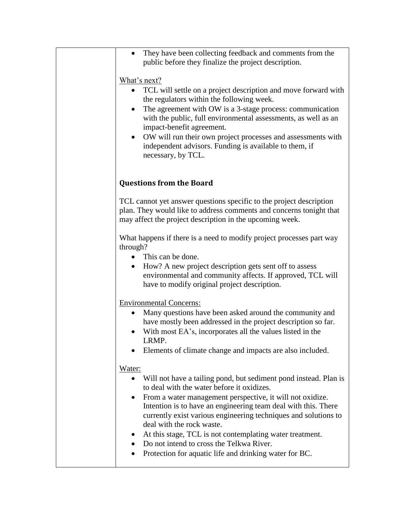| They have been collecting feedback and comments from the<br>public before they finalize the project description.                                                                                                                 |  |  |  |
|----------------------------------------------------------------------------------------------------------------------------------------------------------------------------------------------------------------------------------|--|--|--|
| What's next?                                                                                                                                                                                                                     |  |  |  |
| TCL will settle on a project description and move forward with<br>the regulators within the following week.                                                                                                                      |  |  |  |
| The agreement with OW is a 3-stage process: communication<br>with the public, full environmental assessments, as well as an<br>impact-benefit agreement.                                                                         |  |  |  |
| OW will run their own project processes and assessments with<br>٠<br>independent advisors. Funding is available to them, if<br>necessary, by TCL.                                                                                |  |  |  |
|                                                                                                                                                                                                                                  |  |  |  |
| <b>Questions from the Board</b>                                                                                                                                                                                                  |  |  |  |
| TCL cannot yet answer questions specific to the project description<br>plan. They would like to address comments and concerns tonight that<br>may affect the project description in the upcoming week.                           |  |  |  |
| What happens if there is a need to modify project processes part way<br>through?                                                                                                                                                 |  |  |  |
| This can be done.                                                                                                                                                                                                                |  |  |  |
| How? A new project description gets sent off to assess<br>environmental and community affects. If approved, TCL will<br>have to modify original project description.                                                             |  |  |  |
| <b>Environmental Concerns:</b>                                                                                                                                                                                                   |  |  |  |
| Many questions have been asked around the community and<br>have mostly been addressed in the project description so far.<br>With most EA's, incorporates all the values listed in the<br>LRMP.                                   |  |  |  |
| Elements of climate change and impacts are also included.                                                                                                                                                                        |  |  |  |
|                                                                                                                                                                                                                                  |  |  |  |
| Water:<br>Will not have a tailing pond, but sediment pond instead. Plan is<br>$\bullet$                                                                                                                                          |  |  |  |
| to deal with the water before it oxidizes.                                                                                                                                                                                       |  |  |  |
| From a water management perspective, it will not oxidize.<br>٠<br>Intention is to have an engineering team deal with this. There<br>currently exist various engineering techniques and solutions to<br>deal with the rock waste. |  |  |  |
| At this stage, TCL is not contemplating water treatment.<br>$\bullet$                                                                                                                                                            |  |  |  |
| Do not intend to cross the Telkwa River.<br>Protection for aquatic life and drinking water for BC.<br>٠                                                                                                                          |  |  |  |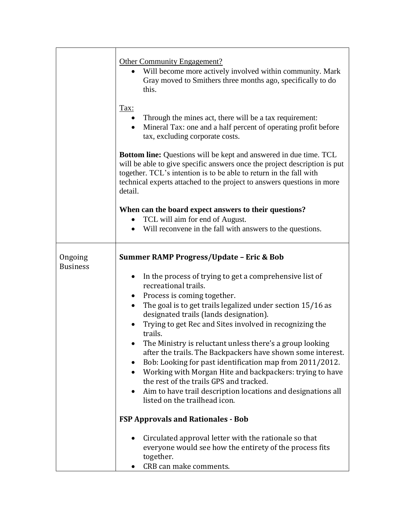|                            | <b>Other Community Engagement?</b><br>• Will become more actively involved within community. Mark<br>Gray moved to Smithers three months ago, specifically to do<br>this.<br>Tax:<br>Through the mines act, there will be a tax requirement:                                                                     |  |  |  |  |  |
|----------------------------|------------------------------------------------------------------------------------------------------------------------------------------------------------------------------------------------------------------------------------------------------------------------------------------------------------------|--|--|--|--|--|
|                            | Mineral Tax: one and a half percent of operating profit before<br>tax, excluding corporate costs.                                                                                                                                                                                                                |  |  |  |  |  |
|                            | <b>Bottom line:</b> Questions will be kept and answered in due time. TCL<br>will be able to give specific answers once the project description is put<br>together. TCL's intention is to be able to return in the fall with<br>technical experts attached to the project to answers questions in more<br>detail. |  |  |  |  |  |
|                            | When can the board expect answers to their questions?                                                                                                                                                                                                                                                            |  |  |  |  |  |
|                            | • TCL will aim for end of August.                                                                                                                                                                                                                                                                                |  |  |  |  |  |
|                            | • Will reconvene in the fall with answers to the questions.                                                                                                                                                                                                                                                      |  |  |  |  |  |
| Ongoing<br><b>Business</b> | <b>Summer RAMP Progress/Update - Eric &amp; Bob</b>                                                                                                                                                                                                                                                              |  |  |  |  |  |
|                            | In the process of trying to get a comprehensive list of<br>$\bullet$                                                                                                                                                                                                                                             |  |  |  |  |  |
|                            | recreational trails.                                                                                                                                                                                                                                                                                             |  |  |  |  |  |
|                            | Process is coming together.<br>The goal is to get trails legalized under section 15/16 as                                                                                                                                                                                                                        |  |  |  |  |  |
|                            | designated trails (lands designation).                                                                                                                                                                                                                                                                           |  |  |  |  |  |
|                            | Trying to get Rec and Sites involved in recognizing the<br>trails.                                                                                                                                                                                                                                               |  |  |  |  |  |
|                            | The Ministry is reluctant unless there's a group looking                                                                                                                                                                                                                                                         |  |  |  |  |  |
|                            | after the trails. The Backpackers have shown some interest.                                                                                                                                                                                                                                                      |  |  |  |  |  |
|                            | Bob: Looking for past identification map from 2011/2012.<br>Working with Morgan Hite and backpackers: trying to have<br>$\bullet$                                                                                                                                                                                |  |  |  |  |  |
|                            | the rest of the trails GPS and tracked.                                                                                                                                                                                                                                                                          |  |  |  |  |  |
|                            | Aim to have trail description locations and designations all<br>٠                                                                                                                                                                                                                                                |  |  |  |  |  |
|                            | listed on the trailhead icon.                                                                                                                                                                                                                                                                                    |  |  |  |  |  |
|                            | <b>FSP Approvals and Rationales - Bob</b>                                                                                                                                                                                                                                                                        |  |  |  |  |  |
|                            | Circulated approval letter with the rationale so that<br>everyone would see how the entirety of the process fits<br>together.                                                                                                                                                                                    |  |  |  |  |  |